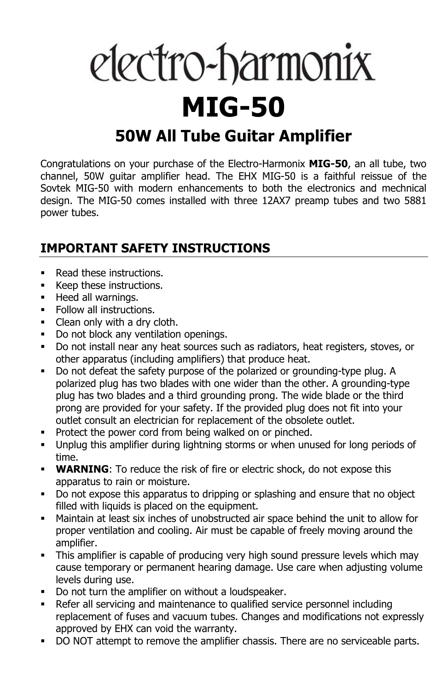# electro-harmonix **MIG-50**

## **50W All Tube Guitar Amplifier**

Congratulations on your purchase of the Electro-Harmonix **MIG-50**, an all tube, two channel, 50W guitar amplifier head. The EHX MIG-50 is a faithful reissue of the Sovtek MIG-50 with modern enhancements to both the electronics and mechnical design. The MIG-50 comes installed with three 12AX7 preamp tubes and two 5881 power tubes.

#### **IMPORTANT SAFETY INSTRUCTIONS**

- Read these instructions.
- Keep these instructions.
- **Heed all warnings.**
- Follow all instructions.
- Clean only with a dry cloth.
- Do not block any ventilation openings.
- Do not install near any heat sources such as radiators, heat registers, stoves, or other apparatus (including amplifiers) that produce heat.
- Do not defeat the safety purpose of the polarized or grounding-type plug. A polarized plug has two blades with one wider than the other. A grounding-type plug has two blades and a third grounding prong. The wide blade or the third prong are provided for your safety. If the provided plug does not fit into your outlet consult an electrician for replacement of the obsolete outlet.
- **Protect the power cord from being walked on or pinched.**
- Unplug this amplifier during lightning storms or when unused for long periods of time.
- **WARNING**: To reduce the risk of fire or electric shock, do not expose this apparatus to rain or moisture.
- Do not expose this apparatus to dripping or splashing and ensure that no object filled with liquids is placed on the equipment.
- Maintain at least six inches of unobstructed air space behind the unit to allow for proper ventilation and cooling. Air must be capable of freely moving around the amplifier.
- This amplifier is capable of producing very high sound pressure levels which may cause temporary or permanent hearing damage. Use care when adjusting volume levels during use.
- Do not turn the amplifier on without a loudspeaker.
- Refer all servicing and maintenance to qualified service personnel including replacement of fuses and vacuum tubes. Changes and modifications not expressly approved by EHX can void the warranty.
- DO NOT attempt to remove the amplifier chassis. There are no serviceable parts.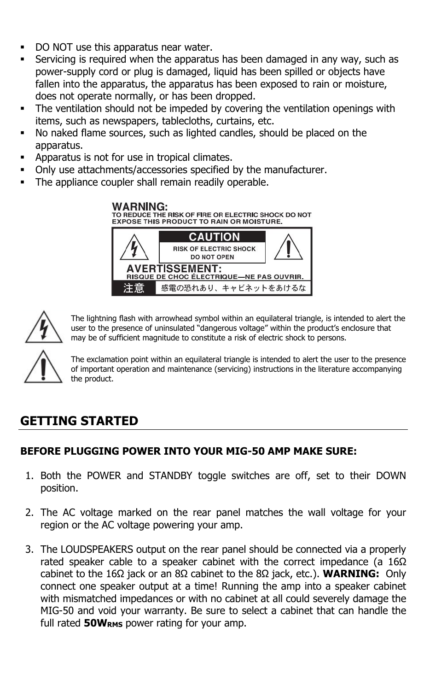- DO NOT use this apparatus near water.
- Servicing is required when the apparatus has been damaged in any way, such as power-supply cord or plug is damaged, liquid has been spilled or objects have fallen into the apparatus, the apparatus has been exposed to rain or moisture, does not operate normally, or has been dropped.
- The ventilation should not be impeded by covering the ventilation openings with items, such as newspapers, tablecloths, curtains, etc.
- No naked flame sources, such as lighted candles, should be placed on the apparatus.
- Apparatus is not for use in tropical climates.
- Only use attachments/accessories specified by the manufacturer.
- The appliance coupler shall remain readily operable.



The lightning flash with arrowhead symbol within an equilateral triangle, is intended to alert the user to the presence of uninsulated "dangerous voltage" within the product's enclosure that may be of sufficient magnitude to constitute a risk of electric shock to persons.

The exclamation point within an equilateral triangle is intended to alert the user to the presence of important operation and maintenance (servicing) instructions in the literature accompanying the product.

### **GETTING STARTED**

#### **BEFORE PLUGGING POWER INTO YOUR MIG-50 AMP MAKE SURE:**

- 1. Both the POWER and STANDBY toggle switches are off, set to their DOWN position.
- 2. The AC voltage marked on the rear panel matches the wall voltage for your region or the AC voltage powering your amp.
- 3. The LOUDSPEAKERS output on the rear panel should be connected via a properly rated speaker cable to a speaker cabinet with the correct impedance (a 16Ω cabinet to the 16Ω jack or an 8Ω cabinet to the 8Ω jack, etc.). **WARNING:** Only connect one speaker output at a time! Running the amp into a speaker cabinet with mismatched impedances or with no cabinet at all could severely damage the MIG-50 and void your warranty. Be sure to select a cabinet that can handle the full rated **50WRMS** power rating for your amp.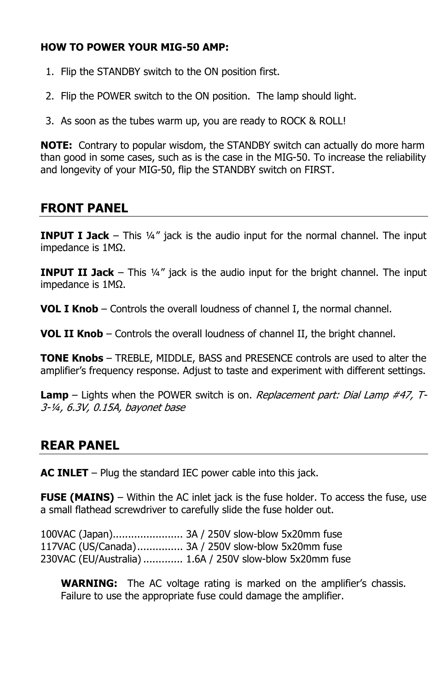#### **HOW TO POWER YOUR MIG-50 AMP:**

- 1. Flip the STANDBY switch to the ON position first.
- 2. Flip the POWER switch to the ON position. The lamp should light.
- 3. As soon as the tubes warm up, you are ready to ROCK & ROLL!

**NOTE:** Contrary to popular wisdom, the STANDBY switch can actually do more harm than good in some cases, such as is the case in the MIG-50. To increase the reliability and longevity of your MIG-50, flip the STANDBY switch on FIRST.

#### **FRONT PANEL**

**INPUT I Jack** – This ¼" jack is the audio input for the normal channel. The input impedance is 1MΩ.

**INPUT II Jack** – This ¼" jack is the audio input for the bright channel. The input impedance is 1MΩ.

**VOL I Knob** – Controls the overall loudness of channel I, the normal channel.

**VOL II Knob** – Controls the overall loudness of channel II, the bright channel.

**TONE Knobs** – TREBLE, MIDDLE, BASS and PRESENCE controls are used to alter the amplifier's frequency response. Adjust to taste and experiment with different settings.

**Lamp** – Lights when the POWER switch is on. Replacement part: Dial Lamp #47, T-3-¼, 6.3V, 0.15A, bayonet base

#### **REAR PANEL**

**AC INLET** – Plug the standard IEC power cable into this jack.

**FUSE (MAINS)** – Within the AC inlet jack is the fuse holder. To access the fuse, use a small flathead screwdriver to carefully slide the fuse holder out.

100VAC (Japan) ....................... 3A / 250V slow-blow 5x20mm fuse 117VAC (US/Canada) ............... 3A / 250V slow-blow 5x20mm fuse 230VAC (EU/Australia) ............. 1.6A / 250V slow-blow 5x20mm fuse

**WARNING:** The AC voltage rating is marked on the amplifier's chassis. Failure to use the appropriate fuse could damage the amplifier.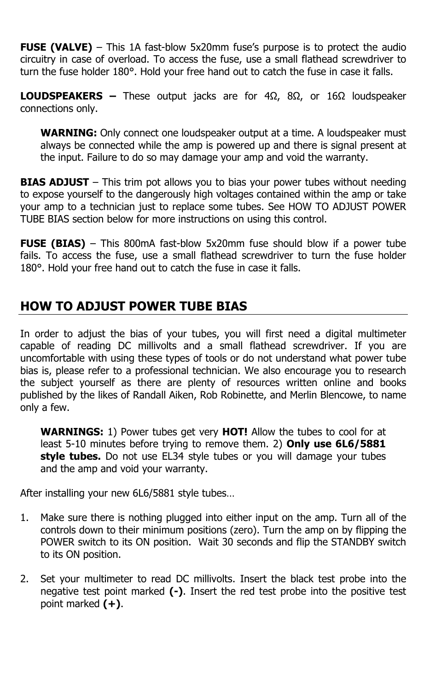**FUSE (VALVE)** – This 1A fast-blow 5x20mm fuse's purpose is to protect the audio circuitry in case of overload. To access the fuse, use a small flathead screwdriver to turn the fuse holder 180°. Hold your free hand out to catch the fuse in case it falls.

**LOUDSPEAKERS –** These output jacks are for 4Ω, 8Ω, or 16Ω loudspeaker connections only.

**WARNING:** Only connect one loudspeaker output at a time. A loudspeaker must always be connected while the amp is powered up and there is signal present at the input. Failure to do so may damage your amp and void the warranty.

**BIAS ADJUST** – This trim pot allows you to bias your power tubes without needing to expose yourself to the dangerously high voltages contained within the amp or take your amp to a technician just to replace some tubes. See HOW TO ADJUST POWER TUBE BIAS section below for more instructions on using this control.

**FUSE (BIAS)** – This 800mA fast-blow 5x20mm fuse should blow if a power tube fails. To access the fuse, use a small flathead screwdriver to turn the fuse holder 180°. Hold your free hand out to catch the fuse in case it falls.

#### **HOW TO ADJUST POWER TUBE BIAS**

In order to adjust the bias of your tubes, you will first need a digital multimeter capable of reading DC millivolts and a small flathead screwdriver. If you are uncomfortable with using these types of tools or do not understand what power tube bias is, please refer to a professional technician. We also encourage you to research the subject yourself as there are plenty of resources written online and books published by the likes of Randall Aiken, Rob Robinette, and Merlin Blencowe, to name only a few.

**WARNINGS:** 1) Power tubes get very **HOT!** Allow the tubes to cool for at least 5-10 minutes before trying to remove them. 2) **Only use 6L6/5881 style tubes.** Do not use EL34 style tubes or you will damage your tubes and the amp and void your warranty.

After installing your new 6L6/5881 style tubes…

- 1. Make sure there is nothing plugged into either input on the amp. Turn all of the controls down to their minimum positions (zero). Turn the amp on by flipping the POWER switch to its ON position. Wait 30 seconds and flip the STANDBY switch to its ON position.
- 2. Set your multimeter to read DC millivolts. Insert the black test probe into the negative test point marked **(-)**. Insert the red test probe into the positive test point marked **(+)**.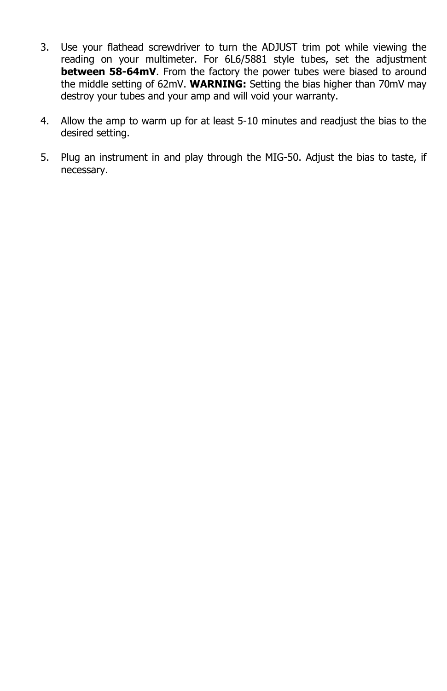- 3. Use your flathead screwdriver to turn the ADJUST trim pot while viewing the reading on your multimeter. For 6L6/5881 style tubes, set the adjustment **between 58-64mV**. From the factory the power tubes were biased to around the middle setting of 62mV. **WARNING:** Setting the bias higher than 70mV may destroy your tubes and your amp and will void your warranty.
- 4. Allow the amp to warm up for at least 5-10 minutes and readjust the bias to the desired setting.
- 5. Plug an instrument in and play through the MIG-50. Adjust the bias to taste, if necessary.